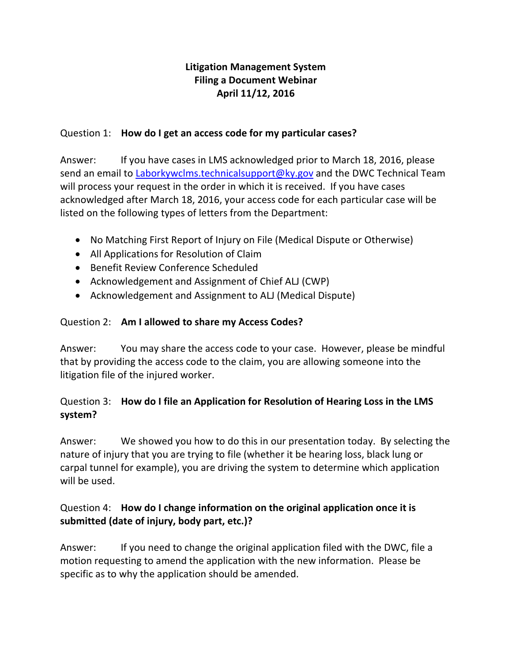# **Litigation Management System Filing a Document Webinar April 11/12, 2016**

#### Question 1: **How do I get an access code for my particular cases?**

Answer: If you have cases in LMS acknowledged prior to March 18, 2016, please send an email to [Laborkywclms.technicalsupport@ky.gov](mailto:Laborkywclms.technicalsupport@ky.gov) and the DWC Technical Team will process your request in the order in which it is received. If you have cases acknowledged after March 18, 2016, your access code for each particular case will be listed on the following types of letters from the Department:

- No Matching First Report of Injury on File (Medical Dispute or Otherwise)
- All Applications for Resolution of Claim
- Benefit Review Conference Scheduled
- Acknowledgement and Assignment of Chief ALJ (CWP)
- Acknowledgement and Assignment to ALJ (Medical Dispute)

### Question 2: **Am I allowed to share my Access Codes?**

Answer: You may share the access code to your case. However, please be mindful that by providing the access code to the claim, you are allowing someone into the litigation file of the injured worker.

## Question 3: **How do I file an Application for Resolution of Hearing Loss in the LMS system?**

Answer: We showed you how to do this in our presentation today. By selecting the nature of injury that you are trying to file (whether it be hearing loss, black lung or carpal tunnel for example), you are driving the system to determine which application will be used.

## Question 4: **How do I change information on the original application once it is submitted (date of injury, body part, etc.)?**

Answer: If you need to change the original application filed with the DWC, file a motion requesting to amend the application with the new information. Please be specific as to why the application should be amended.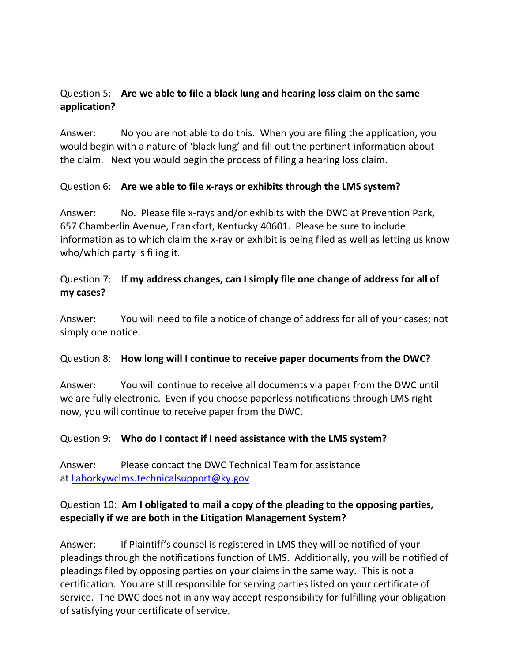### Question 5: **Are we able to file a black lung and hearing loss claim on the same application?**

Answer: No you are not able to do this. When you are filing the application, you would begin with a nature of 'black lung' and fill out the pertinent information about the claim. Next you would begin the process of filing a hearing loss claim.

#### Question 6: **Are we able to file x-rays or exhibits through the LMS system?**

Answer: No. Please file x-rays and/or exhibits with the DWC at Prevention Park, 657 Chamberlin Avenue, Frankfort, Kentucky 40601. Please be sure to include information as to which claim the x-ray or exhibit is being filed as well as letting us know who/which party is filing it.

### Question 7: **If my address changes, can I simply file one change of address for all of my cases?**

Answer: You will need to file a notice of change of address for all of your cases; not simply one notice.

#### Question 8: **How long will I continue to receive paper documents from the DWC?**

Answer: You will continue to receive all documents via paper from the DWC until we are fully electronic. Even if you choose paperless notifications through LMS right now, you will continue to receive paper from the DWC.

#### Question 9: **Who do I contact if I need assistance with the LMS system?**

Answer: Please contact the DWC Technical Team for assistance at [Laborkywclms.technicalsupport@ky.gov](mailto:Laborkywclms.technicalsupport@ky.gov)

### Question 10: **Am I obligated to mail a copy of the pleading to the opposing parties, especially if we are both in the Litigation Management System?**

Answer: If Plaintiff's counsel is registered in LMS they will be notified of your pleadings through the notifications function of LMS. Additionally, you will be notified of pleadings filed by opposing parties on your claims in the same way. This is not a certification. You are still responsible for serving parties listed on your certificate of service. The DWC does not in any way accept responsibility for fulfilling your obligation of satisfying your certificate of service.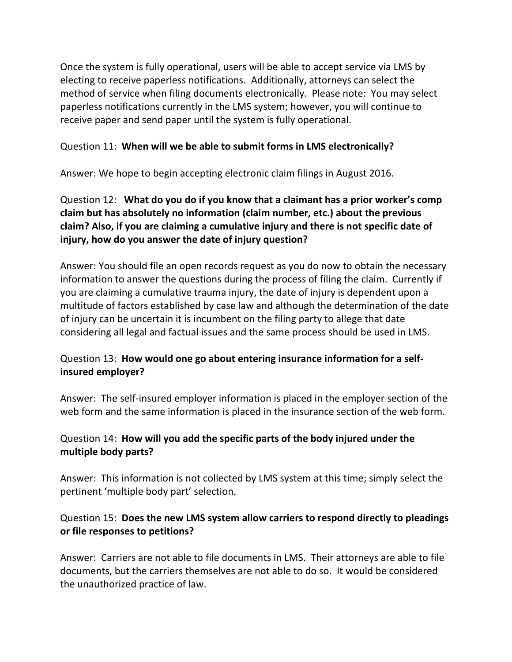Once the system is fully operational, users will be able to accept service via LMS by electing to receive paperless notifications. Additionally, attorneys can select the method of service when filing documents electronically. Please note: You may select paperless notifications currently in the LMS system; however, you will continue to receive paper and send paper until the system is fully operational.

#### Question 11: **When will we be able to submit forms in LMS electronically?**

Answer: We hope to begin accepting electronic claim filings in August 2016.

## Question 12: **What do you do if you know that a claimant has a prior worker's comp claim but has absolutely no information (claim number, etc.) about the previous claim? Also, if you are claiming a cumulative injury and there is not specific date of injury, how do you answer the date of injury question?**

Answer: You should file an open records request as you do now to obtain the necessary information to answer the questions during the process of filing the claim. Currently if you are claiming a cumulative trauma injury, the date of injury is dependent upon a multitude of factors established by case law and although the determination of the date of injury can be uncertain it is incumbent on the filing party to allege that date considering all legal and factual issues and the same process should be used in LMS.

## Question 13: **How would one go about entering insurance information for a selfinsured employer?**

Answer: The self-insured employer information is placed in the employer section of the web form and the same information is placed in the insurance section of the web form.

## Question 14: **How will you add the specific parts of the body injured under the multiple body parts?**

Answer: This information is not collected by LMS system at this time; simply select the pertinent 'multiple body part' selection.

## Question 15: **Does the new LMS system allow carriers to respond directly to pleadings or file responses to petitions?**

Answer: Carriers are not able to file documents in LMS. Their attorneys are able to file documents, but the carriers themselves are not able to do so. It would be considered the unauthorized practice of law.